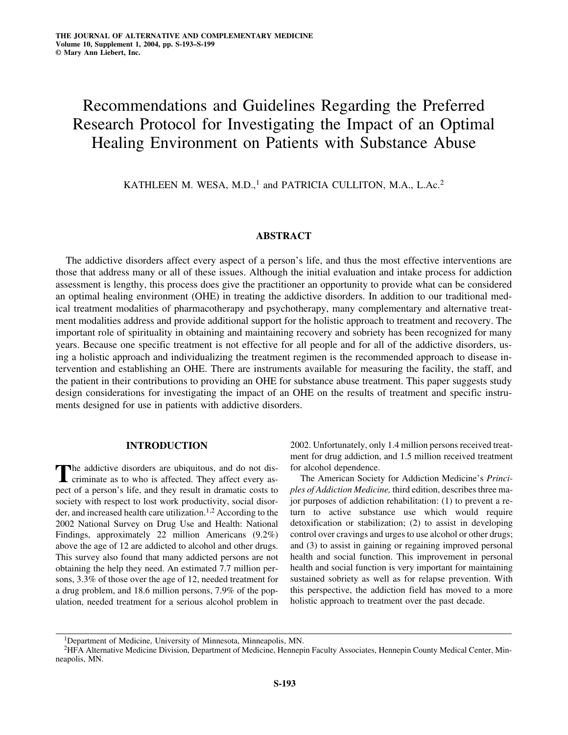# Recommendations and Guidelines Regarding the Preferred Research Protocol for Investigating the Impact of an Optimal Healing Environment on Patients with Substance Abuse

KATHLEEN M. WESA, M.D.,<sup>1</sup> and PATRICIA CULLITON, M.A., L.Ac.<sup>2</sup>

#### **ABSTRACT**

The addictive disorders affect every aspect of a person's life, and thus the most effective interventions are those that address many or all of these issues. Although the initial evaluation and intake process for addiction assessment is lengthy, this process does give the practitioner an opportunity to provide what can be considered an optimal healing environment (OHE) in treating the addictive disorders. In addition to our traditional medical treatment modalities of pharmacotherapy and psychotherapy, many complementary and alternative treatment modalities address and provide additional support for the holistic approach to treatment and recovery. The important role of spirituality in obtaining and maintaining recovery and sobriety has been recognized for many years. Because one specific treatment is not effective for all people and for all of the addictive disorders, using a holistic approach and individualizing the treatment regimen is the recommended approach to disease intervention and establishing an OHE. There are instruments available for measuring the facility, the staff, and the patient in their contributions to providing an OHE for substance abuse treatment. This paper suggests study design considerations for investigating the impact of an OHE on the results of treatment and specific instruments designed for use in patients with addictive disorders.

#### **INTRODUCTION**

The addictive disorders are ubiquitous, and do not discriminate as to who is affected. They affect every ascriminate as to who is affected. They affect every aspect of a person's life, and they result in dramatic costs to society with respect to lost work productivity, social disorder, and increased health care utilization.<sup>1,2</sup> According to the 2002 National Survey on Drug Use and Health: National Findings, approximately 22 million Americans (9.2%) above the age of 12 are addicted to alcohol and other drugs. This survey also found that many addicted persons are not obtaining the help they need. An estimated 7.7 million persons, 3.3% of those over the age of 12, needed treatment for a drug problem, and 18.6 million persons, 7.9% of the population, needed treatment for a serious alcohol problem in

2002. Unfortunately, only 1.4 million persons received treatment for drug addiction, and 1.5 million received treatment for alcohol dependence.

The American Society for Addiction Medicine's *Principles of Addiction Medicine,*third edition, describes three major purposes of addiction rehabilitation: (1) to prevent a return to active substance use which would require detoxification or stabilization; (2) to assist in developing control over cravings and urges to use alcohol or other drugs; and (3) to assist in gaining or regaining improved personal health and social function. This improvement in personal health and social function is very important for maintaining sustained sobriety as well as for relapse prevention. With this perspective, the addiction field has moved to a more holistic approach to treatment over the past decade.

<sup>&</sup>lt;sup>1</sup>Department of Medicine, University of Minnesota, Minneapolis, MN.

<sup>2</sup>HFA Alternative Medicine Division, Department of Medicine, Hennepin Faculty Associates, Hennepin County Medical Center, Minneapolis, MN.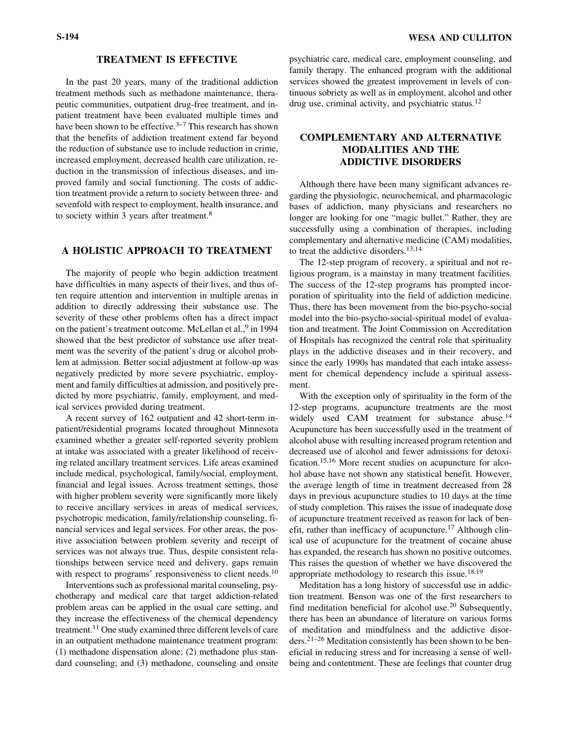#### **S-194 WESA AND CULLITON**

## **TREATMENT IS EFFECTIVE**

In the past 20 years, many of the traditional addiction treatment methods such as methadone maintenance, therapeutic communities, outpatient drug-free treatment, and inpatient treatment have been evaluated multiple times and have been shown to be effective.<sup>3–7</sup> This research has shown that the benefits of addiction treatment extend far beyond the reduction of substance use to include reduction in crime, increased employment, decreased health care utilization, reduction in the transmission of infectious diseases, and improved family and social functioning. The costs of addiction treatment provide a return to society between three- and sevenfold with respect to employment, health insurance, and to society within 3 years after treatment.<sup>8</sup>

## **A HOLISTIC APPROACH TO TREATMENT**

The majority of people who begin addiction treatment have difficulties in many aspects of their lives, and thus often require attention and intervention in multiple arenas in addition to directly addressing their substance use. The severity of these other problems often has a direct impact on the patient's treatment outcome. McLellan et al.,<sup>9</sup> in 1994 showed that the best predictor of substance use after treatment was the severity of the patient's drug or alcohol problem at admission. Better social adjustment at follow-up was negatively predicted by more severe psychiatric, employment and family difficulties at admission, and positively predicted by more psychiatric, family, employment, and medical services provided during treatment.

A recent survey of 162 outpatient and 42 short-term inpatient/residential programs located throughout Minnesota examined whether a greater self-reported severity problem at intake was associated with a greater likelihood of receiving related ancillary treatment services. Life areas examined include medical, psychological, family/social, employment, financial and legal issues. Across treatment settings, those with higher problem severity were significantly more likely to receive ancillary services in areas of medical services, psychotropic medication, family/relationship counseling, financial services and legal services. For other areas, the positive association between problem severity and receipt of services was not always true. Thus, despite consistent relationships between service need and delivery, gaps remain with respect to programs' responsiveness to client needs.<sup>10</sup>

Interventions such as professional marital counseling, psychotherapy and medical care that target addiction-related problem areas can be applied in the usual care setting, and they increase the effectiveness of the chemical dependency treatment.<sup>11</sup> One study examined three different levels of care in an outpatient methadone maintenance treatment program: (1) methadone dispensation alone; (2) methadone plus standard counseling; and (3) methadone, counseling and onsite psychiatric care, medical care, employment counseling, and family therapy. The enhanced program with the additional services showed the greatest improvement in levels of continuous sobriety as well as in employment, alcohol and other drug use, criminal activity, and psychiatric status.<sup>12</sup>

# **COMPLEMENTARY AND ALTERNATIVE MODALITIES AND THE ADDICTIVE DISORDERS**

Although there have been many significant advances regarding the physiologic, neurochemical, and pharmacologic bases of addiction, many physicians and researchers no longer are looking for one "magic bullet." Rather, they are successfully using a combination of therapies, including complementary and alternative medicine (CAM) modalities, to treat the addictive disorders.<sup>13,14</sup>

The 12-step program of recovery, a spiritual and not religious program, is a mainstay in many treatment facilities. The success of the 12-step programs has prompted incorporation of spirituality into the field of addiction medicine. Thus, there has been movement from the bio-psycho-social model into the bio-psycho-social-spiritual model of evaluation and treatment. The Joint Commission on Accreditation of Hospitals has recognized the central role that spirituality plays in the addictive diseases and in their recovery, and since the early 1990s has mandated that each intake assessment for chemical dependency include a spiritual assessment.

With the exception only of spirituality in the form of the 12-step programs, acupuncture treatments are the most widely used CAM treatment for substance abuse.<sup>14</sup> Acupuncture has been successfully used in the treatment of alcohol abuse with resulting increased program retention and decreased use of alcohol and fewer admissions for detoxification.15,16 More recent studies on acupuncture for alcohol abuse have not shown any statistical benefit. However, the average length of time in treatment decreased from 28 days in previous acupuncture studies to 10 days at the time of study completion. This raises the issue of inadequate dose of acupuncture treatment received as reason for lack of benefit, rather than inefficacy of acupuncture.<sup>17</sup> Although clinical use of acupuncture for the treatment of cocaine abuse has expanded, the research has shown no positive outcomes. This raises the question of whether we have discovered the appropriate methodology to research this issue.<sup>18,19</sup>

Meditation has a long history of successful use in addiction treatment. Benson was one of the first researchers to find meditation beneficial for alcohol use.<sup>20</sup> Subsequently, there has been an abundance of literature on various forms of meditation and mindfulness and the addictive disor $ders.$ <sup>21–26</sup> Meditation consistently has been shown to be beneficial in reducing stress and for increasing a sense of wellbeing and contentment. These are feelings that counter drug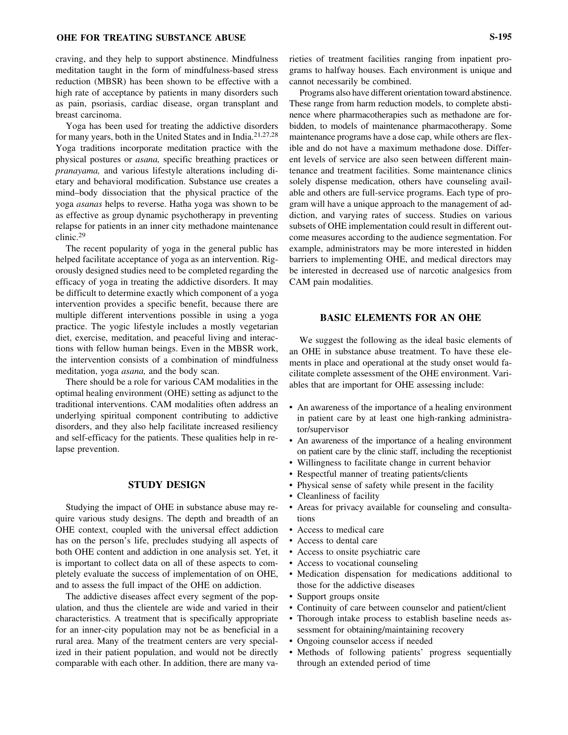# **OHE FOR TREATING SUBSTANCE ABUSE S-195**

craving, and they help to support abstinence. Mindfulness meditation taught in the form of mindfulness-based stress reduction (MBSR) has been shown to be effective with a high rate of acceptance by patients in many disorders such as pain, psoriasis, cardiac disease, organ transplant and breast carcinoma.

Yoga has been used for treating the addictive disorders for many years, both in the United States and in India.21,27,28 Yoga traditions incorporate meditation practice with the physical postures or *asana,* specific breathing practices or *pranayama,* and various lifestyle alterations including dietary and behavioral modification. Substance use creates a mind–body dissociation that the physical practice of the yoga *asanas* helps to reverse. Hatha yoga was shown to be as effective as group dynamic psychotherapy in preventing relapse for patients in an inner city methadone maintenance clinic.<sup>29</sup>

The recent popularity of yoga in the general public has helped facilitate acceptance of yoga as an intervention. Rigorously designed studies need to be completed regarding the efficacy of yoga in treating the addictive disorders. It may be difficult to determine exactly which component of a yoga intervention provides a specific benefit, because there are multiple different interventions possible in using a yoga practice. The yogic lifestyle includes a mostly vegetarian diet, exercise, meditation, and peaceful living and interactions with fellow human beings. Even in the MBSR work, the intervention consists of a combination of mindfulness meditation, yoga *asana,* and the body scan.

There should be a role for various CAM modalities in the optimal healing environment (OHE) setting as adjunct to the traditional interventions. CAM modalities often address an underlying spiritual component contributing to addictive disorders, and they also help facilitate increased resiliency and self-efficacy for the patients. These qualities help in relapse prevention.

#### **STUDY DESIGN**

Studying the impact of OHE in substance abuse may require various study designs. The depth and breadth of an OHE context, coupled with the universal effect addiction has on the person's life, precludes studying all aspects of both OHE content and addiction in one analysis set. Yet, it is important to collect data on all of these aspects to completely evaluate the success of implementation of on OHE, and to assess the full impact of the OHE on addiction.

The addictive diseases affect every segment of the population, and thus the clientele are wide and varied in their characteristics. A treatment that is specifically appropriate for an inner-city population may not be as beneficial in a rural area. Many of the treatment centers are very specialized in their patient population, and would not be directly comparable with each other. In addition, there are many varieties of treatment facilities ranging from inpatient programs to halfway houses. Each environment is unique and cannot necessarily be combined.

Programs also have different orientation toward abstinence. These range from harm reduction models, to complete abstinence where pharmacotherapies such as methadone are forbidden, to models of maintenance pharmacotherapy. Some maintenance programs have a dose cap, while others are flexible and do not have a maximum methadone dose. Different levels of service are also seen between different maintenance and treatment facilities. Some maintenance clinics solely dispense medication, others have counseling available and others are full-service programs. Each type of program will have a unique approach to the management of addiction, and varying rates of success. Studies on various subsets of OHE implementation could result in different outcome measures according to the audience segmentation. For example, administrators may be more interested in hidden barriers to implementing OHE, and medical directors may be interested in decreased use of narcotic analgesics from CAM pain modalities.

#### **BASIC ELEMENTS FOR AN OHE**

We suggest the following as the ideal basic elements of an OHE in substance abuse treatment. To have these elements in place and operational at the study onset would facilitate complete assessment of the OHE environment. Variables that are important for OHE assessing include:

- An awareness of the importance of a healing environment in patient care by at least one high-ranking administrator/supervisor
- An awareness of the importance of a healing environment on patient care by the clinic staff, including the receptionist
- Willingness to facilitate change in current behavior
- Respectful manner of treating patients/clients
- Physical sense of safety while present in the facility
- Cleanliness of facility
- Areas for privacy available for counseling and consultations
- Access to medical care
- Access to dental care
- Access to onsite psychiatric care
- Access to vocational counseling
- Medication dispensation for medications additional to those for the addictive diseases
- Support groups onsite
- Continuity of care between counselor and patient/client
- Thorough intake process to establish baseline needs assessment for obtaining/maintaining recovery
- Ongoing counselor access if needed
- Methods of following patients' progress sequentially through an extended period of time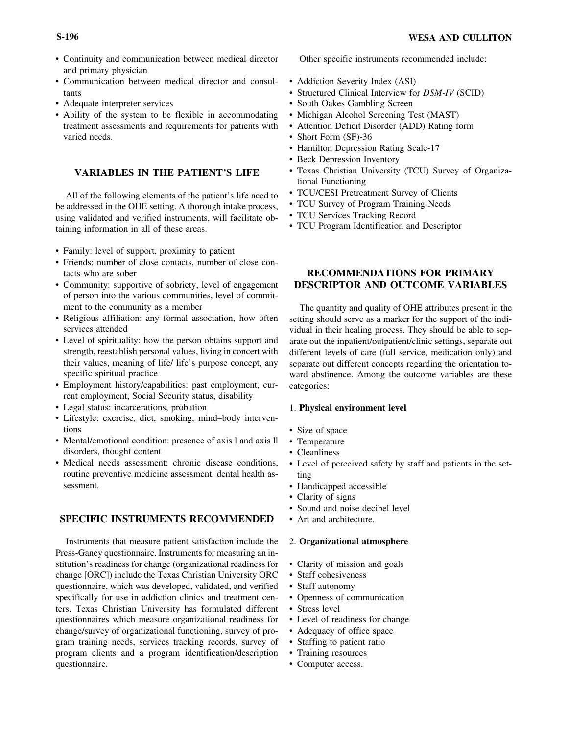- Continuity and communication between medical director and primary physician
- Communication between medical director and consultants
- Adequate interpreter services
- Ability of the system to be flexible in accommodating treatment assessments and requirements for patients with varied needs.

## **VARIABLES IN THE PATIENT'S LIFE**

All of the following elements of the patient's life need to be addressed in the OHE setting. A thorough intake process, using validated and verified instruments, will facilitate obtaining information in all of these areas.

- Family: level of support, proximity to patient
- Friends: number of close contacts, number of close contacts who are sober
- Community: supportive of sobriety, level of engagement of person into the various communities, level of commitment to the community as a member
- Religious affiliation: any formal association, how often services attended
- Level of spirituality: how the person obtains support and strength, reestablish personal values, living in concert with their values, meaning of life/ life's purpose concept, any specific spiritual practice
- Employment history/capabilities: past employment, current employment, Social Security status, disability
- Legal status: incarcerations, probation
- Lifestyle: exercise, diet, smoking, mind–body interventions
- Mental/emotional condition: presence of axis l and axis ll disorders, thought content
- Medical needs assessment: chronic disease conditions, routine preventive medicine assessment, dental health assessment.

## **SPECIFIC INSTRUMENTS RECOMMENDED**

Instruments that measure patient satisfaction include the Press-Ganey questionnaire. Instruments for measuring an institution's readiness for change (organizational readiness for change [ORC]) include the Texas Christian University ORC questionnaire, which was developed, validated, and verified specifically for use in addiction clinics and treatment centers. Texas Christian University has formulated different questionnaires which measure organizational readiness for change/survey of organizational functioning, survey of program training needs, services tracking records, survey of program clients and a program identification/description questionnaire.

Other specific instruments recommended include:

- Addiction Severity Index (ASI)
- Structured Clinical Interview for *DSM-IV* (SCID)
- South Oakes Gambling Screen
- Michigan Alcohol Screening Test (MAST)
- Attention Deficit Disorder (ADD) Rating form
- Short Form (SF)-36
- Hamilton Depression Rating Scale-17
- Beck Depression Inventory
- Texas Christian University (TCU) Survey of Organizational Functioning
- TCU/CESI Pretreatment Survey of Clients
- TCU Survey of Program Training Needs
- TCU Services Tracking Record
- TCU Program Identification and Descriptor

# **RECOMMENDATIONS FOR PRIMARY DESCRIPTOR AND OUTCOME VARIABLES**

The quantity and quality of OHE attributes present in the setting should serve as a marker for the support of the individual in their healing process. They should be able to separate out the inpatient/outpatient/clinic settings, separate out different levels of care (full service, medication only) and separate out different concepts regarding the orientation toward abstinence. Among the outcome variables are these categories:

#### 1. **Physical environment level**

- Size of space
- Temperature
- Cleanliness
- Level of perceived safety by staff and patients in the setting
- Handicapped accessible
- Clarity of signs
- Sound and noise decibel level
- Art and architecture.

#### 2. **Organizational atmosphere**

- Clarity of mission and goals
- Staff cohesiveness
- Staff autonomy
- Openness of communication
- Stress level
- Level of readiness for change
- Adequacy of office space
- Staffing to patient ratio
- Training resources
- Computer access.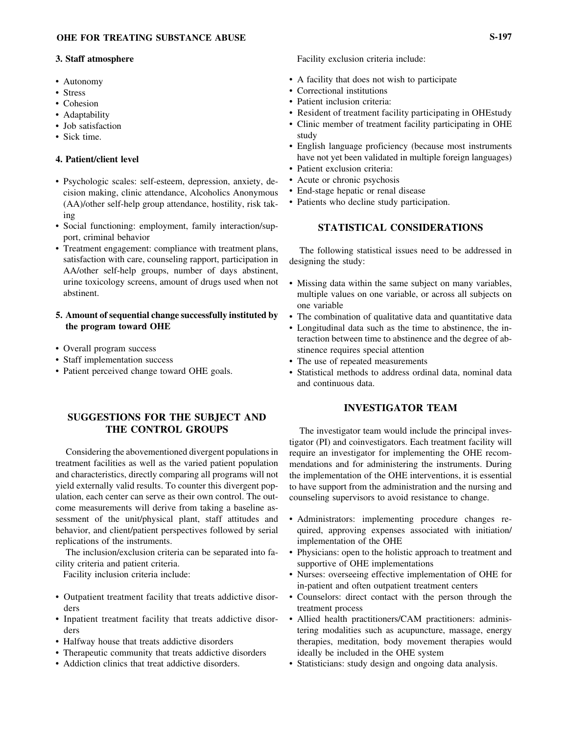# **OHE FOR TREATING SUBSTANCE ABUSE S-197**

#### **3. Staff atmosphere**

- Autonomy
- Stress
- Cohesion
- Adaptability
- Job satisfaction
- Sick time.

#### **4. Patient/client level**

- Psychologic scales: self-esteem, depression, anxiety, decision making, clinic attendance, Alcoholics Anonymous (AA)/other self-help group attendance, hostility, risk taking
- Social functioning: employment, family interaction/support, criminal behavior
- Treatment engagement: compliance with treatment plans, satisfaction with care, counseling rapport, participation in AA/other self-help groups, number of days abstinent, urine toxicology screens, amount of drugs used when not abstinent.

## **5. Amount of sequential change successfully instituted by the program toward OHE**

- Overall program success
- Staff implementation success
- Patient perceived change toward OHE goals.

# **SUGGESTIONS FOR THE SUBJECT AND THE CONTROL GROUPS**

Considering the abovementioned divergent populations in treatment facilities as well as the varied patient population and characteristics, directly comparing all programs will not yield externally valid results. To counter this divergent population, each center can serve as their own control. The outcome measurements will derive from taking a baseline assessment of the unit/physical plant, staff attitudes and behavior, and client/patient perspectives followed by serial replications of the instruments.

The inclusion/exclusion criteria can be separated into facility criteria and patient criteria.

• Facility inclusion criteria include:

- Outpatient treatment facility that treats addictive disorders
- Inpatient treatment facility that treats addictive disorders
- Halfway house that treats addictive disorders
- Therapeutic community that treats addictive disorders
- Addiction clinics that treat addictive disorders.

• Facility exclusion criteria include:

- A facility that does not wish to participate
- Correctional institutions
- Patient inclusion criteria:
- Resident of treatment facility participating in OHEstudy
- Clinic member of treatment facility participating in OHE study
- English language proficiency (because most instruments have not yet been validated in multiple foreign languages)
- Patient exclusion criteria:
- Acute or chronic psychosis
- End-stage hepatic or renal disease
- Patients who decline study participation.

# **STATISTICAL CONSIDERATIONS**

The following statistical issues need to be addressed in designing the study:

- Missing data within the same subject on many variables, multiple values on one variable, or across all subjects on one variable
- The combination of qualitative data and quantitative data
- Longitudinal data such as the time to abstinence, the interaction between time to abstinence and the degree of abstinence requires special attention
- The use of repeated measurements
- Statistical methods to address ordinal data, nominal data and continuous data.

# **INVESTIGATOR TEAM**

The investigator team would include the principal investigator (PI) and coinvestigators. Each treatment facility will require an investigator for implementing the OHE recommendations and for administering the instruments. During the implementation of the OHE interventions, it is essential to have support from the administration and the nursing and counseling supervisors to avoid resistance to change.

- Administrators: implementing procedure changes required, approving expenses associated with initiation/ implementation of the OHE
- Physicians: open to the holistic approach to treatment and supportive of OHE implementations
- Nurses: overseeing effective implementation of OHE for in-patient and often outpatient treatment centers
- Counselors: direct contact with the person through the treatment process
- Allied health practitioners/CAM practitioners: administering modalities such as acupuncture, massage, energy therapies, meditation, body movement therapies would ideally be included in the OHE system
- Statisticians: study design and ongoing data analysis.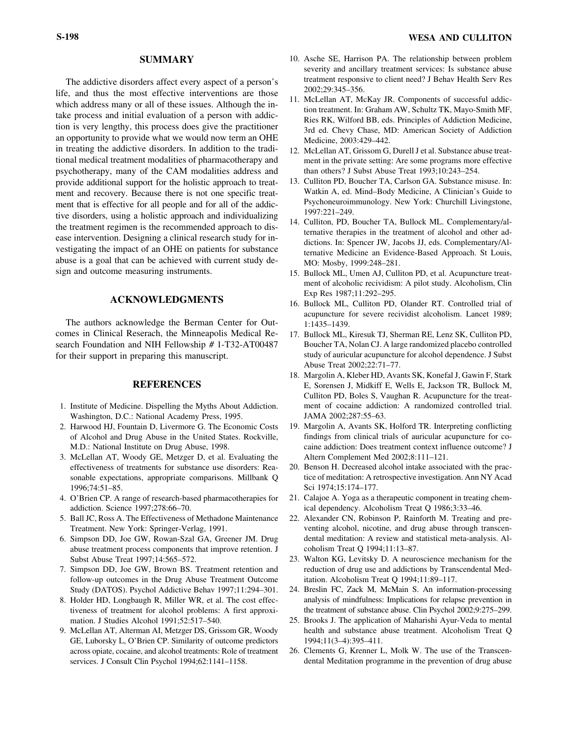#### **SUMMARY**

The addictive disorders affect every aspect of a person's life, and thus the most effective interventions are those which address many or all of these issues. Although the intake process and initial evaluation of a person with addiction is very lengthy, this process does give the practitioner an opportunity to provide what we would now term an OHE in treating the addictive disorders. In addition to the traditional medical treatment modalities of pharmacotherapy and psychotherapy, many of the CAM modalities address and provide additional support for the holistic approach to treatment and recovery. Because there is not one specific treatment that is effective for all people and for all of the addictive disorders, using a holistic approach and individualizing the treatment regimen is the recommended approach to disease intervention. Designing a clinical research study for investigating the impact of an OHE on patients for substance abuse is a goal that can be achieved with current study design and outcome measuring instruments.

#### **ACKNOWLEDGMENTS**

The authors acknowledge the Berman Center for Outcomes in Clinical Reserach, the Minneapolis Medical Research Foundation and NIH Fellowship #1-T32-AT00487 for their support in preparing this manuscript.

#### **REFERENCES**

- 1. Institute of Medicine. Dispelling the Myths About Addiction. Washington, D.C.: National Academy Press, 1995.
- 2. Harwood HJ, Fountain D, Livermore G. The Economic Costs of Alcohol and Drug Abuse in the United States. Rockville, M.D.: National Institute on Drug Abuse, 1998.
- 3. McLellan AT, Woody GE, Metzger D, et al. Evaluating the effectiveness of treatments for substance use disorders: Reasonable expectations, appropriate comparisons. Millbank Q 1996;74:51–85.
- 4. O'Brien CP. A range of research-based pharmacotherapies for addiction. Science 1997;278:66–70.
- 5. Ball JC, Ross A. The Effectiveness of Methadone Maintenance Treatment. New York: Springer-Verlag, 1991.
- 6. Simpson DD, Joe GW, Rowan-Szal GA, Greener JM. Drug abuse treatment process components that improve retention. J Subst Abuse Treat 1997;14:565–572.
- 7. Simpson DD, Joe GW, Brown BS. Treatment retention and follow-up outcomes in the Drug Abuse Treatment Outcome Study (DATOS). Psychol Addictive Behav 1997;11:294–301.
- 8. Holder HD, Longbaugh R, Miller WR, et al. The cost effectiveness of treatment for alcohol problems: A first approximation. J Studies Alcohol 1991;52:517–540.
- 9. McLellan AT, Alterman AI, Metzger DS, Grissom GR, Woody GE, Luborsky L, O'Brien CP. Similarity of outcome predictors across opiate, cocaine, and alcohol treatments: Role of treatment services. J Consult Clin Psychol 1994;62:1141–1158.
- 10. Asche SE, Harrison PA. The relationship between problem severity and ancillary treatment services: Is substance abuse treatment responsive to client need? J Behav Health Serv Res 2002;29:345–356.
- 11. McLellan AT, McKay JR. Components of successful addiction treatment. In: Graham AW, Schultz TK, Mayo-Smith MF, Ries RK, Wilford BB, eds. Principles of Addiction Medicine, 3rd ed. Chevy Chase, MD: American Society of Addiction Medicine, 2003:429–442.
- 12. McLellan AT, Grissom G, Durell J et al. Substance abuse treatment in the private setting: Are some programs more effective than others? J Subst Abuse Treat 1993;10:243–254.
- 13. Culliton PD, Boucher TA, Carlson GA. Substance misuse. In: Watkin A, ed. Mind–Body Medicine, A Clinician's Guide to Psychoneuroimmunology. New York: Churchill Livingstone, 1997:221–249.
- 14. Culliton, PD, Boucher TA, Bullock ML. Complementary/alternative therapies in the treatment of alcohol and other addictions. In: Spencer JW, Jacobs JJ, eds. Complementary/Alternative Medicine an Evidence-Based Approach. St Louis, MO: Mosby, 1999:248–281.
- 15. Bullock ML, Umen AJ, Culliton PD, et al. Acupuncture treatment of alcoholic recividism: A pilot study. Alcoholism, Clin Exp Res 1987;11:292–295.
- 16. Bullock ML, Culliton PD, Olander RT. Controlled trial of acupuncture for severe recividist alcoholism. Lancet 1989; 1:1435–1439.
- 17. Bullock ML, Kiresuk TJ, Sherman RE, Lenz SK, Culliton PD, Boucher TA, Nolan CJ. A large randomized placebo controlled study of auricular acupuncture for alcohol dependence. J Subst Abuse Treat 2002;22:71–77.
- 18. Margolin A, Kleber HD, Avants SK, Konefal J, Gawin F, Stark E, Sorensen J, Midkiff E, Wells E, Jackson TR, Bullock M, Culliton PD, Boles S, Vaughan R. Acupuncture for the treatment of cocaine addiction: A randomized controlled trial. JAMA 2002;287:55–63.
- 19. Margolin A, Avants SK, Holford TR. Interpreting conflicting findings from clinical trials of auricular acupuncture for cocaine addiction: Does treatment context influence outcome? J Altern Complement Med 2002;8:111–121.
- 20. Benson H. Decreased alcohol intake associated with the practice of meditation: A retrospective investigation. Ann NY Acad Sci 1974;15:174–177.
- 21. Calajoe A. Yoga as a therapeutic component in treating chemical dependency. Alcoholism Treat Q 1986;3:33–46.
- 22. Alexander CN, Robinson P, Rainforth M. Treating and preventing alcohol, nicotine, and drug abuse through transcendental meditation: A review and statistical meta-analysis. Alcoholism Treat Q 1994;11:13–87.
- 23. Walton KG, Levitsky D. A neuroscience mechanism for the reduction of drug use and addictions by Transcendental Meditation. Alcoholism Treat Q 1994;11:89–117.
- 24. Breslin FC, Zack M, McMain S. An information-processing analysis of mindfulness: Implications for relapse prevention in the treatment of substance abuse. Clin Psychol 2002;9:275–299.
- 25. Brooks J. The application of Maharishi Ayur-Veda to mental health and substance abuse treatment. Alcoholism Treat Q 1994;11(3–4):395–411.
- 26. Clements G, Krenner L, Molk W. The use of the Transcendental Meditation programme in the prevention of drug abuse